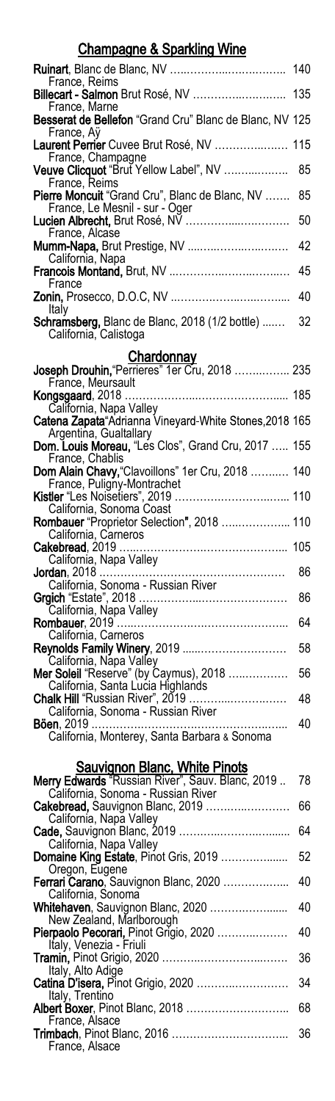### Champagne & Sparkling Wine

| <u>Unampagno a Upanung Trino</u>                                                         |     |
|------------------------------------------------------------------------------------------|-----|
|                                                                                          | 140 |
| France, Reims<br>Billecart - Salmon Brut Rosé, NV                                        | 135 |
| France, Marne<br>Besserat de Bellefon "Grand Cru" Blanc de Blanc, NV 125<br>France, Aÿ   |     |
| Laurent Perrier Cuvee Brut Rosé, NV<br>France, Champagne                                 | 115 |
| Veuve Clicquot "Brut Yellow Label", NV<br>France, Reims                                  | 85  |
| Pierre Moncuit "Grand Cru", Blanc de Blanc, NV<br>France, Le Mesnil - sur - Oger         | 85  |
| Lucien Albrecht, Brut Rosé, NV<br>France, Alcase                                         | 50  |
| Mumm-Napa, Brut Prestige, NV<br>California, Napa                                         | 42  |
| France                                                                                   | 45  |
| Italy                                                                                    | 40  |
| Schramsberg, Blanc de Blanc, 2018 (1/2 bottle)<br>California, Calistoga                  | 32  |
| <u>Chardonnay</u>                                                                        |     |
| Joseph Drouhin, "Perrieres" 1er Cru, 2018  235<br>France, Meursault                      |     |
| Kongsgaard, 2018<br>California, Napa Valley                                              |     |
| Catena Zapata Adrianna Vineyard-White Stones, 2018 165<br>Argentina, Gualtallary         |     |
| Dom. Louis Moreau, "Les Clos", Grand Cru, 2017  155<br>France, Chablis                   |     |
| Dom Alain Chavy, "Clavoillons" 1er Cru, 2018  140<br>France, Puligny-Montrachet          |     |
| Kistler "Les Noisetiers", 2019  110                                                      |     |
| California, Sonoma Coast<br>Rombauer "Proprietor Selection", 2018  110                   |     |
| California, Carneros<br>Cakebread, 2019                                                  | 105 |
| California, Napa Valley                                                                  | 86  |
|                                                                                          | 86  |
| California, Napa Valley                                                                  | 64  |
| California, Carneros<br>Reynolds Family Winery, 2019                                     | 58  |
| California, Napa Valley<br>Mer Soleil "Reserve" (by Caymus), 2018                        | 56  |
| California, Santa Lucia Highlands<br>Chalk Hill "Russian River", 2019                    | 48  |
| California, Sonoma - Russian River                                                       | 40  |
| California, Monterey, Santa Barbara & Sonoma                                             |     |
| <u>Sauvignon Blanc, White Pinots</u><br>Merry Edwards "Russian River", Sauv. Blanc, 2019 | 78  |
| California, Sonoma - Russian River                                                       |     |
| Cakebread, Sauvignon Blanc, 2019<br>California, Napa Valley                              | 66  |
| Cade, Sauvignon Blanc, 2019<br>California, Napa Valley                                   | 64  |
| Domaine King Estate, Pinot Gris, 2019<br>Oregon, Eugene                                  | 52  |
| Ferrari Carano, Sauvignon Blanc, 2020<br>California, Sonoma                              | 40  |
| Whitehaven, Sauvignon Blanc, 2020<br>New Zealand, Marlborough                            | 40  |
| Pierpaolo Pecorari, Pinot Grígio, 2020<br>Italy, Venezia - Friuli                        | 40  |
|                                                                                          | 36  |

|                   | - 36 |
|-------------------|------|
| Italy, Alto Adige |      |
|                   |      |
| Italy, Trentino   |      |
|                   |      |
| France, Alsace    |      |
|                   |      |
| France, Alsace    |      |
|                   |      |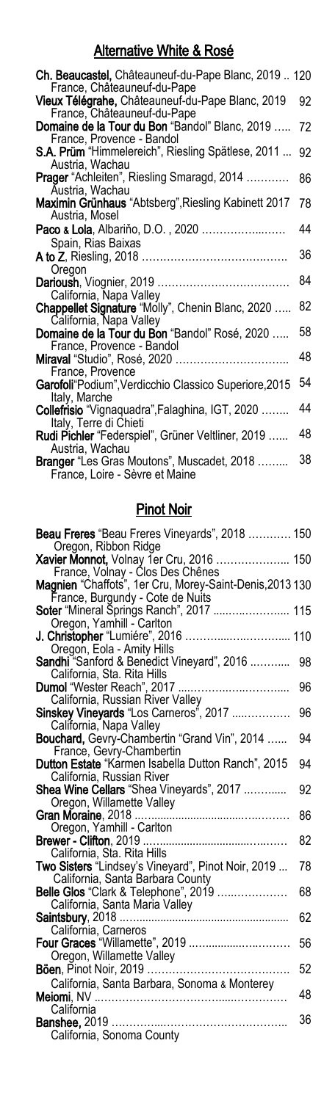## Alternative White & Rosé

| <b>Ch. Beaucastel, Châteauneuf-du-Pape Blanc, 2019 120</b>                      |    |
|---------------------------------------------------------------------------------|----|
| France, Châteauneuf-du-Pape                                                     |    |
| Vieux Télégrahe, Châteauneuf-du-Pape Blanc, 2019<br>France, Châteauneuf-du-Pape | 92 |
| Domaine de la Tour du Bon "Bandol" Blanc, 2019                                  | 72 |
| France, Provence - Bandol                                                       |    |
| S.A. Prüm "Himmelereich", Riesling Spätlese, 2011                               | 92 |
| Austria, Wachau                                                                 |    |
| <b>Prager</b> "Achleiten", Riesling Smaragd, 2014                               | 86 |
| Austria, Wachau                                                                 |    |
| Maximin Grünhaus "Abtsberg", Riesling Kabinett 2017<br>Austria, Mosel           | 78 |
| Paco & Lola, Albariño, D.O., 2020                                               | 44 |
| Spain, Rias Baixas                                                              |    |
|                                                                                 | 36 |
| Oregon                                                                          | 84 |
|                                                                                 |    |
| California, Napa Valley                                                         |    |
| Chappellet Signature "Molly", Chenin Blanc, 2020                                | 82 |
| California, Napa Valley                                                         |    |
| Domaine de la Tour du Bon "Bandol" Rosé, 2020                                   | 58 |
| France, Provence - Bandol                                                       | 48 |
|                                                                                 |    |
| France, Provence                                                                | 54 |
| Garofoli"Podium", Verdicchio Classico Superiore, 2015                           |    |
| Italy, Marche                                                                   |    |
| Collefrisio "Vignaquadra", Falaghina, IGT, 2020                                 | 44 |
| Italy, Terre di Chieti                                                          |    |
| Rudi Pichler "Federspiel", Grüner Veltliner, 2019                               | 48 |
| Austria, Wachau                                                                 |    |
| Branger "Les Gras Moutons", Muscadet, 2018                                      | 38 |
| France, Loire - Sèvre et Maine                                                  |    |

#### Pinot Noir

| <b>Beau Freres</b> "Beau Freres Vineyards", 2018  150                        |    |
|------------------------------------------------------------------------------|----|
| Oregon, Ribbon Ridge                                                         |    |
| <b>Xavier Monnot, Volnay 1er Cru, 2016  150</b>                              |    |
| France, Volnay - Člos Des Chênes                                             |    |
| Magnien "Chaffots", 1er Cru, Morey-Saint-Denis, 2013 130                     |    |
| France, Burgundy - Cote de Nuits<br>Soter "Mineral Šprings Ranch", 2017  115 |    |
| Oregon, Yamhill - Carlton                                                    |    |
| J. Christopher "Lumiére", 2016  110                                          |    |
| Oregon, Eola - Amity Hills                                                   |    |
| Sandhi "Sanford & Benedict Vineyard", 2016                                   | 98 |
| California, Sta. Rita Hills                                                  |    |
|                                                                              | 96 |
|                                                                              |    |
| California, Russian River Valley<br>Sinskey Vineyards "Los Carneros", 2017   | 96 |
| California, Napa Valley                                                      |    |
| Bouchard, Gevry-Chambertin "Grand Vin", 2014                                 | 94 |
| France, Gevry-Chambertin                                                     |    |
| Dutton Estate "Karmen Isabella Dutton Ranch", 2015                           | 94 |
| California, Russian River                                                    |    |
| Shea Wine Cellars "Shea Vineyards", 2017                                     | 92 |
| Oregon, Willamette Valley                                                    |    |
|                                                                              | 86 |
| Oregon, Yamhill - Carlton                                                    |    |
|                                                                              | 82 |
| California, Sta. Rita Hills                                                  |    |
| <b>Two Sisters</b> "Lindsey's Vineyard", Pinot Noir, 2019                    | 78 |
| California, Santa Barbara County<br>Belle Glos "Clark & Telephone", 2019     | 68 |
| California, Santa Maria Valley                                               |    |
|                                                                              | 62 |
| California, Carneros                                                         |    |
| Four Graces "Willamette", 2019                                               | 56 |
| Oregon, Willamette Valley                                                    |    |
|                                                                              | 52 |
| California, Santa Barbara, Sonoma & Monterey                                 |    |
|                                                                              | 48 |
| California                                                                   |    |
|                                                                              | 36 |
| California, Sonoma County                                                    |    |
|                                                                              |    |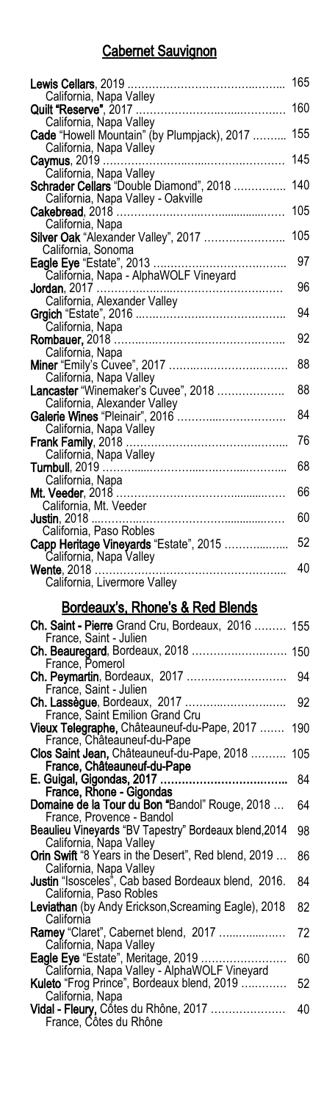## Cabernet Sauvignon

| <b>Lewis Cellars</b> , 2019                                                | 165 |
|----------------------------------------------------------------------------|-----|
| California, Napa Valley                                                    |     |
| Quilt "Reserve", 2017 ….<br>California, Napa Valley                        | 160 |
| Cade "Howell Mountain" (by Plumpjack), 2017                                | 155 |
| California, Napa Valley                                                    |     |
|                                                                            | 145 |
| California, Napa Valley<br>Schrader Cellars "Double Diamond", 2018         | 140 |
| California, Napa Valley - Oakville                                         |     |
|                                                                            | 105 |
| California, Napa                                                           |     |
| Silver Oak "Alexander Valley", 2017                                        | 105 |
| California, Sonoma<br><b>Eagle Eye</b> "Estate", 2013 …                    | 97  |
| California, Napa - AlphaWOLF Vineyard                                      |     |
| Jordan, 2017                                                               | 96  |
| California, Alexander Valley                                               | 94  |
| California, Napa                                                           |     |
|                                                                            | 92  |
| California, Napa                                                           |     |
| Miner "Emily's Cuvee", 2017                                                | 88  |
| California, Napa Valley<br>Lancaster "Winemaker's Cuvee", 2018             | 88  |
| California, Alexander Valley                                               |     |
| Galerie Wines "Pleinair", 2016                                             | 84  |
| California, Napa Valley                                                    |     |
|                                                                            | 76  |
| California, Napa Valley                                                    | 68  |
| California, Napa                                                           |     |
|                                                                            | 66  |
| California, Mt. Veeder                                                     | 60  |
| <b>Justin</b> , 2018<br>California, Paso Robles                            |     |
| Capp Heritage Vineyards "Estate", 2015                                     | 52  |
| California, Napa Valley                                                    |     |
| <b>Wente</b> , 2018<br>California, Livermore Valley                        | 40  |
|                                                                            |     |
| <u>Bordeaux's, Rhone's &amp; Red Blends</u>                                |     |
| Ch. Saint - Pierre Grand Cru, Bordeaux, 2016  155                          |     |
| France, Saint - Julien                                                     |     |
| Ch. Beauregard, Bordeaux, 2018<br>France, Pomerol                          | 150 |
| Ch. Peymartin, Bordeaux, 2017                                              | 94  |
| France, Saint - Julien                                                     |     |
| Ch. Lassègue, Bordeaux, 2017                                               | 92  |
| France, Saint Emilion Grand Cru                                            |     |
| Vieux Telegraphe, Châteauneuf-du-Pape, 2017<br>France, Châteauneuf-du-Pape | 190 |
| Clos Saint Jean, Châteauneuf-du-Pape, 2018                                 | 105 |

| France, Châteauneuf-du-Pape                                |    |
|------------------------------------------------------------|----|
|                                                            | 84 |
| France, Rhone - Gigondas                                   |    |
| Domaine de la Tour du Bon "Bandol" Rouge, 2018             | 64 |
| France, Provence - Bandol                                  |    |
| Beaulieu Vineyards "BV Tapestry" Bordeaux blend, 2014      | 98 |
| California, Napa Valley                                    |    |
| <b>Orin Swift</b> "8 Years in the Desert", Red blend, 2019 | 86 |
| California, Napa Valley                                    |    |
| Justin "Isosceles", Cab based Bordeaux blend, 2016.        | 84 |
| California, Paso Robles                                    |    |
| Leviathan (by Andy Erickson, Screaming Eagle), 2018        | 82 |
| California                                                 |    |
| <b>Ramey "Claret", Cabernet blend, 2017 </b>               | 72 |
| California, Napa Valley                                    |    |
| <b>Eagle Eye</b> "Estate", Meritage, 2019                  | 60 |
| California, Napa Valley - AlphaWOLF Vineyard               |    |
| Kuleto "Frog Prince", Bordeaux blend, 2019                 | 52 |
| California, Napa                                           |    |
| <b>Vidal - Fleury, Côtes du Rhône, 2017</b>                | 40 |
| France, Côtes du Rhône                                     |    |